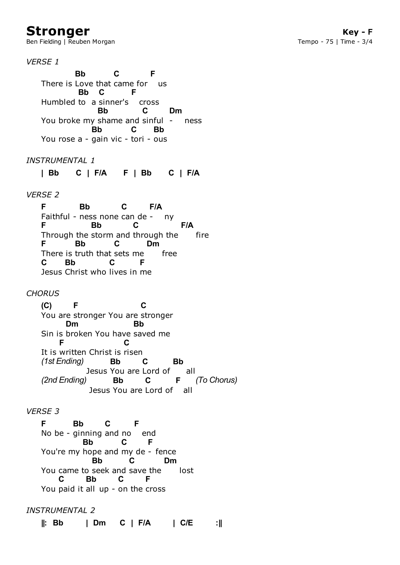## **Stronger**

Ben Fielding | Reuben Morgan

**Key - F** Tempo - 75 | Time - 3/4

*VERSE 1*

There is Love that came for us Humbled to a sinner's cross You broke my shame and sinful - ness You rose a - gain vic - tori - ous **Bb C F Bb C F Bb C Dm Bb C Bb**

*INSTRUMENTAL 1*

**| Bb C | F/A F | Bb C | F/A**

*VERSE 2*

Faithful - ness none can de - ny Through the storm and through the fire There is truth that sets me free Jesus Christ who lives in me **F Bb C F/A F Bb C F/A F Bb C Dm C Bb C F**

*CHORUS*

You are stronger You are stronger Sin is broken You have saved me It is written Christ is risen Jesus You are Lord of all Jesus You are Lord of all **(C) F C Dm Bb F C** *(1st Ending)* **Bb C Bb** *(2nd Ending)* **Bb C F** *(To Chorus)*

## *VERSE 3*

No be - ginning and no end You're my hope and my de - fence You came to seek and save the lost You paid it all up - on the cross **F Bb C F Bb C F Bb C Dm C Bb C F**

*INSTRUMENTAL 2*

**||: Bb | Dm C | F/A | C/E :||**